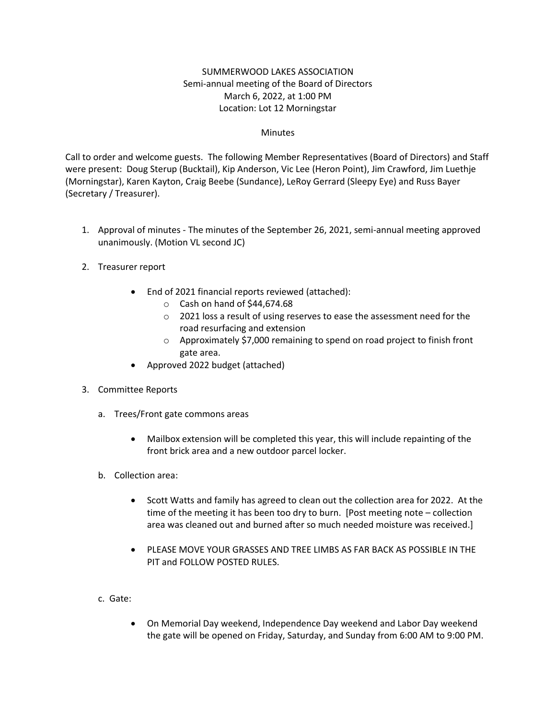### SUMMERWOOD LAKES ASSOCIATION Semi-annual meeting of the Board of Directors March 6, 2022, at 1:00 PM Location: Lot 12 Morningstar

#### **Minutes**

Call to order and welcome guests. The following Member Representatives (Board of Directors) and Staff were present: Doug Sterup (Bucktail), Kip Anderson, Vic Lee (Heron Point), Jim Crawford, Jim Luethje (Morningstar), Karen Kayton, Craig Beebe (Sundance), LeRoy Gerrard (Sleepy Eye) and Russ Bayer (Secretary / Treasurer).

- 1. Approval of minutes The minutes of the September 26, 2021, semi-annual meeting approved unanimously. (Motion VL second JC)
- 2. Treasurer report
	- End of 2021 financial reports reviewed (attached):
		- o Cash on hand of \$44,674.68
		- o 2021 loss a result of using reserves to ease the assessment need for the road resurfacing and extension
		- o Approximately \$7,000 remaining to spend on road project to finish front gate area.
	- Approved 2022 budget (attached)
- 3. Committee Reports
	- a. Trees/Front gate commons areas
		- Mailbox extension will be completed this year, this will include repainting of the front brick area and a new outdoor parcel locker.
	- b. Collection area:
		- Scott Watts and family has agreed to clean out the collection area for 2022. At the time of the meeting it has been too dry to burn. [Post meeting note – collection area was cleaned out and burned after so much needed moisture was received.]
		- PLEASE MOVE YOUR GRASSES AND TREE LIMBS AS FAR BACK AS POSSIBLE IN THE PIT and FOLLOW POSTED RULES.
	- c. Gate:
		- On Memorial Day weekend, Independence Day weekend and Labor Day weekend the gate will be opened on Friday, Saturday, and Sunday from 6:00 AM to 9:00 PM.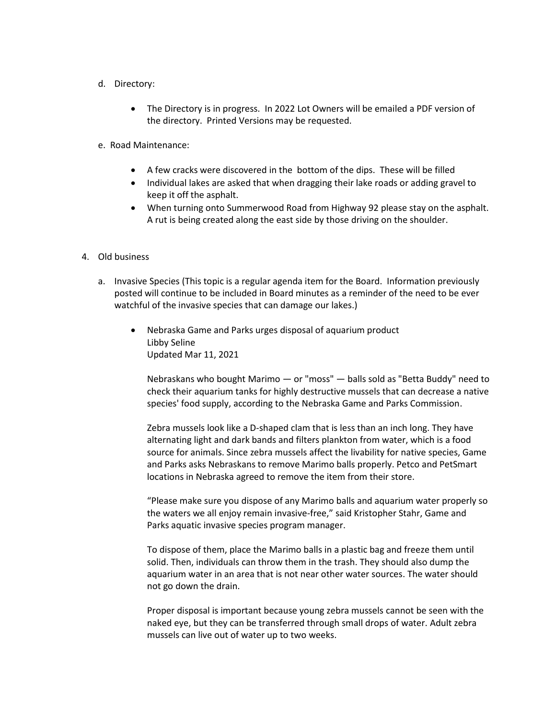- d. Directory:
	- The Directory is in progress. In 2022 Lot Owners will be emailed a PDF version of the directory. Printed Versions may be requested.
- e. Road Maintenance:
	- A few cracks were discovered in the bottom of the dips. These will be filled
	- Individual lakes are asked that when dragging their lake roads or adding gravel to keep it off the asphalt.
	- When turning onto Summerwood Road from Highway 92 please stay on the asphalt. A rut is being created along the east side by those driving on the shoulder.
- 4. Old business
	- a. Invasive Species (This topic is a regular agenda item for the Board. Information previously posted will continue to be included in Board minutes as a reminder of the need to be ever watchful of the invasive species that can damage our lakes.)
		- Nebraska Game and Parks urges disposal of aquarium product Libby Seline Updated Mar 11, 2021

Nebraskans who bought Marimo — or "moss" — balls sold as "Betta Buddy" need to check their aquarium tanks for highly destructive mussels that can decrease a native species' food supply, according to the Nebraska Game and Parks Commission.

Zebra mussels look like a D-shaped clam that is less than an inch long. They have alternating light and dark bands and filters plankton from water, which is a food source for animals. Since zebra mussels affect the livability for native species, Game and Parks asks Nebraskans to remove Marimo balls properly. Petco and PetSmart locations in Nebraska agreed to remove the item from their store.

"Please make sure you dispose of any Marimo balls and aquarium water properly so the waters we all enjoy remain invasive-free," said Kristopher Stahr, Game and Parks aquatic invasive species program manager.

To dispose of them, place the Marimo balls in a plastic bag and freeze them until solid. Then, individuals can throw them in the trash. They should also dump the aquarium water in an area that is not near other water sources. The water should not go down the drain.

Proper disposal is important because young zebra mussels cannot be seen with the naked eye, but they can be transferred through small drops of water. Adult zebra mussels can live out of water up to two weeks.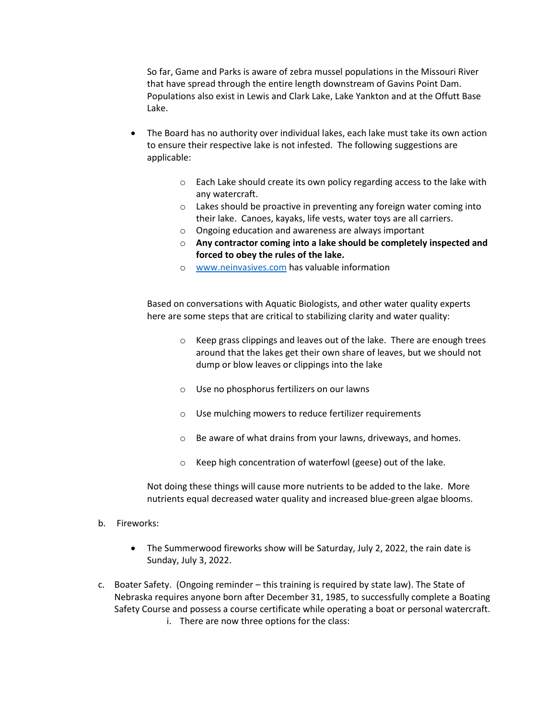So far, Game and Parks is aware of zebra mussel populations in the Missouri River that have spread through the entire length downstream of Gavins Point Dam. Populations also exist in Lewis and Clark Lake, Lake Yankton and at the Offutt Base Lake.

- The Board has no authority over individual lakes, each lake must take its own action to ensure their respective lake is not infested. The following suggestions are applicable:
	- $\circ$  Each Lake should create its own policy regarding access to the lake with any watercraft.
	- o Lakes should be proactive in preventing any foreign water coming into their lake. Canoes, kayaks, life vests, water toys are all carriers.
	- o Ongoing education and awareness are always important
	- o **Any contractor coming into a lake should be completely inspected and forced to obey the rules of the lake.**
	- o [www.neinvasives.com](http://www.neinvasives.com/) has valuable information

Based on conversations with Aquatic Biologists, and other water quality experts here are some steps that are critical to stabilizing clarity and water quality:

- o Keep grass clippings and leaves out of the lake. There are enough trees around that the lakes get their own share of leaves, but we should not dump or blow leaves or clippings into the lake
- o Use no phosphorus fertilizers on our lawns
- o Use mulching mowers to reduce fertilizer requirements
- o Be aware of what drains from your lawns, driveways, and homes.
- o Keep high concentration of waterfowl (geese) out of the lake.

Not doing these things will cause more nutrients to be added to the lake. More nutrients equal decreased water quality and increased blue-green algae blooms.

- b. Fireworks:
	- The Summerwood fireworks show will be Saturday, July 2, 2022, the rain date is Sunday, July 3, 2022.
- c. Boater Safety. (Ongoing reminder this training is required by state law). The State of Nebraska requires anyone born after December 31, 1985, to successfully complete a Boating Safety Course and possess a course certificate while operating a boat or personal watercraft.
	- i. There are now three options for the class: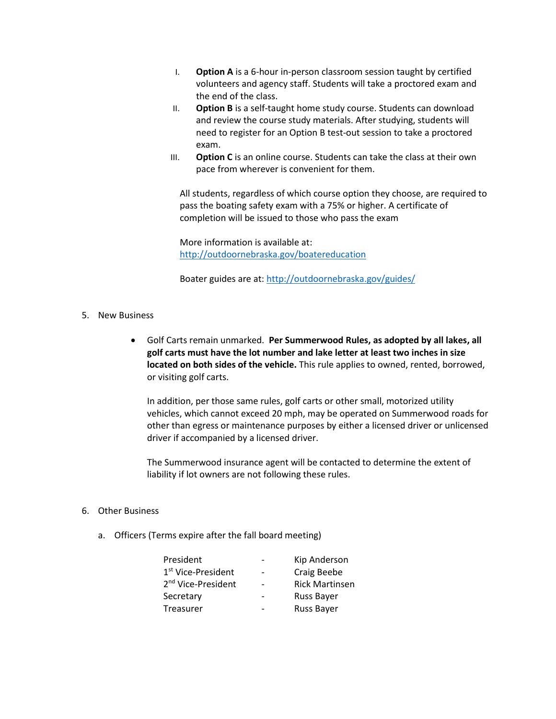- I. **Option A** is a 6-hour in-person classroom session taught by certified volunteers and agency staff. Students will take a proctored exam and the end of the class.
- II. **Option B** is a self-taught home study course. Students can download and review the course study [materials.](http://digital.outdoornebraska.gov/i/320526-boater-education-nebraska) After studying, students will need to register for an Option B test-out session to take a proctored exam.
- III. **Option C** is an online [course.](https://www.boaterexam.com/usa/nebraska/) Students can take the class at their own pace from wherever is convenient for them.

All students, regardless of which course option they choose, are required to pass the boating safety exam with a 75% or higher. A certificate of completion will be issued to those who pass the exam

More information is available at: <http://outdoornebraska.gov/boatereducation>

Boater guides are at[: http://outdoornebraska.gov/guides/](http://outdoornebraska.gov/guides/)

- 5. New Business
	- Golf Carts remain unmarked. **Per Summerwood Rules, as adopted by all lakes, all golf carts must have the lot number and lake letter at least two inches in size located on both sides of the vehicle.** This rule applies to owned, rented, borrowed, or visiting golf carts.

In addition, per those same rules, golf carts or other small, motorized utility vehicles, which cannot exceed 20 mph, may be operated on Summerwood roads for other than egress or maintenance purposes by either a licensed driver or unlicensed driver if accompanied by a licensed driver.

The Summerwood insurance agent will be contacted to determine the extent of liability if lot owners are not following these rules.

#### 6. Other Business

a. Officers (Terms expire after the fall board meeting)

| President                      | Kip Anderson          |
|--------------------------------|-----------------------|
| 1 <sup>st</sup> Vice-President | Craig Beebe           |
| 2 <sup>nd</sup> Vice-President | <b>Rick Martinsen</b> |
| Secretary                      | <b>Russ Bayer</b>     |
| Treasurer                      | <b>Russ Bayer</b>     |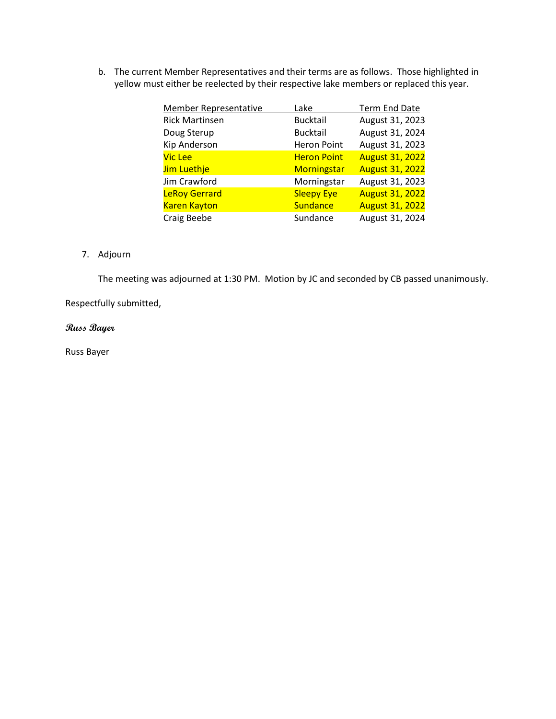b. The current Member Representatives and their terms are as follows. Those highlighted in yellow must either be reelected by their respective lake members or replaced this year.

| <b>Member Representative</b> | Lake               | <b>Term End Date</b>   |
|------------------------------|--------------------|------------------------|
| <b>Rick Martinsen</b>        | <b>Bucktail</b>    | August 31, 2023        |
| Doug Sterup                  | <b>Bucktail</b>    | August 31, 2024        |
| Kip Anderson                 | <b>Heron Point</b> | August 31, 2023        |
| Vic Lee                      | <b>Heron Point</b> | <b>August 31, 2022</b> |
| Jim Luethje                  | <b>Morningstar</b> | <b>August 31, 2022</b> |
| Jim Crawford                 | Morningstar        | August 31, 2023        |
| <b>LeRoy Gerrard</b>         | <b>Sleepy Eye</b>  | <b>August 31, 2022</b> |
| <b>Karen Kayton</b>          | <b>Sundance</b>    | <b>August 31, 2022</b> |
| Craig Beebe                  | Sundance           | August 31, 2024        |

### 7. Adjourn

The meeting was adjourned at 1:30 PM. Motion by JC and seconded by CB passed unanimously.

Respectfully submitted,

#### **Russ Bayer**

Russ Bayer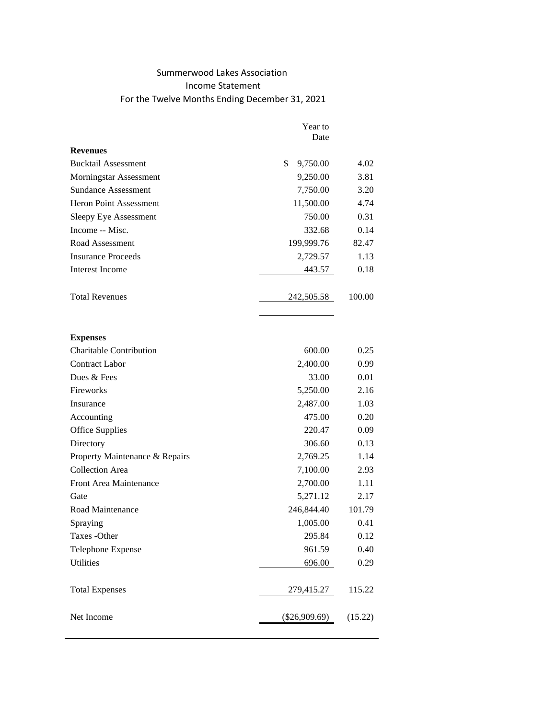## Summerwood Lakes Association Income Statement For the Twelve Months Ending December 31, 2021

|                                | Year to         |         |
|--------------------------------|-----------------|---------|
|                                | Date            |         |
| <b>Revenues</b>                |                 |         |
| <b>Bucktail Assessment</b>     | \$<br>9,750.00  | 4.02    |
| Morningstar Assessment         | 9,250.00        | 3.81    |
| <b>Sundance Assessment</b>     | 7,750.00        | 3.20    |
| Heron Point Assessment         | 11,500.00       | 4.74    |
| Sleepy Eye Assessment          | 750.00          | 0.31    |
| Income -- Misc.                | 332.68          | 0.14    |
| Road Assessment                | 199,999.76      | 82.47   |
| <b>Insurance Proceeds</b>      | 2,729.57        | 1.13    |
| Interest Income                | 443.57          | 0.18    |
| <b>Total Revenues</b>          | 242,505.58      | 100.00  |
| <b>Expenses</b>                |                 |         |
| <b>Charitable Contribution</b> | 600.00          | 0.25    |
| <b>Contract Labor</b>          | 2,400.00        | 0.99    |
| Dues & Fees                    | 33.00           | 0.01    |
| Fireworks                      | 5,250.00        | 2.16    |
| Insurance                      | 2,487.00        | 1.03    |
| Accounting                     | 475.00          | 0.20    |
| <b>Office Supplies</b>         | 220.47          | 0.09    |
| Directory                      | 306.60          | 0.13    |
| Property Maintenance & Repairs | 2,769.25        | 1.14    |
| <b>Collection Area</b>         | 7,100.00        | 2.93    |
| Front Area Maintenance         | 2,700.00        | 1.11    |
| Gate                           | 5,271.12        | 2.17    |
| Road Maintenance               | 246,844.40      | 101.79  |
| Spraying                       | 1,005.00        | 0.41    |
| Taxes - Other                  | 295.84          | 0.12    |
| Telephone Expense              | 961.59          | 0.40    |
| <b>Utilities</b>               | 696.00          | 0.29    |
| <b>Total Expenses</b>          | 279,415.27      | 115.22  |
| Net Income                     | $(\$26,909.69)$ | (15.22) |
|                                |                 |         |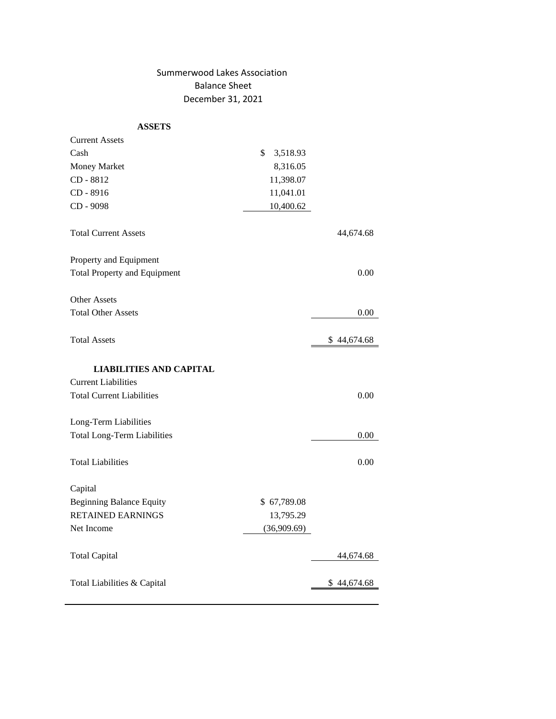### Summerwood Lakes Association Balance Sheet December 31, 2021

#### **ASSETS**

| <b>Current Assets</b>               |                |             |
|-------------------------------------|----------------|-------------|
| Cash                                | \$<br>3,518.93 |             |
| Money Market                        | 8,316.05       |             |
| CD - 8812                           | 11,398.07      |             |
| CD - 8916                           | 11,041.01      |             |
| CD - 9098                           | 10,400.62      |             |
| <b>Total Current Assets</b>         |                | 44,674.68   |
| Property and Equipment              |                |             |
| <b>Total Property and Equipment</b> |                | 0.00        |
| <b>Other Assets</b>                 |                |             |
| <b>Total Other Assets</b>           |                | 0.00        |
| <b>Total Assets</b>                 |                | \$44,674.68 |
| <b>LIABILITIES AND CAPITAL</b>      |                |             |
| <b>Current Liabilities</b>          |                |             |
| <b>Total Current Liabilities</b>    |                | 0.00        |
| Long-Term Liabilities               |                |             |
| <b>Total Long-Term Liabilities</b>  |                | 0.00        |
| <b>Total Liabilities</b>            |                | 0.00        |
| Capital                             |                |             |
| <b>Beginning Balance Equity</b>     | \$67,789.08    |             |
| <b>RETAINED EARNINGS</b>            | 13,795.29      |             |
| Net Income                          | (36,909.69)    |             |
| <b>Total Capital</b>                |                | 44,674.68   |
| Total Liabilities & Capital         |                | \$44,674.68 |
|                                     |                |             |